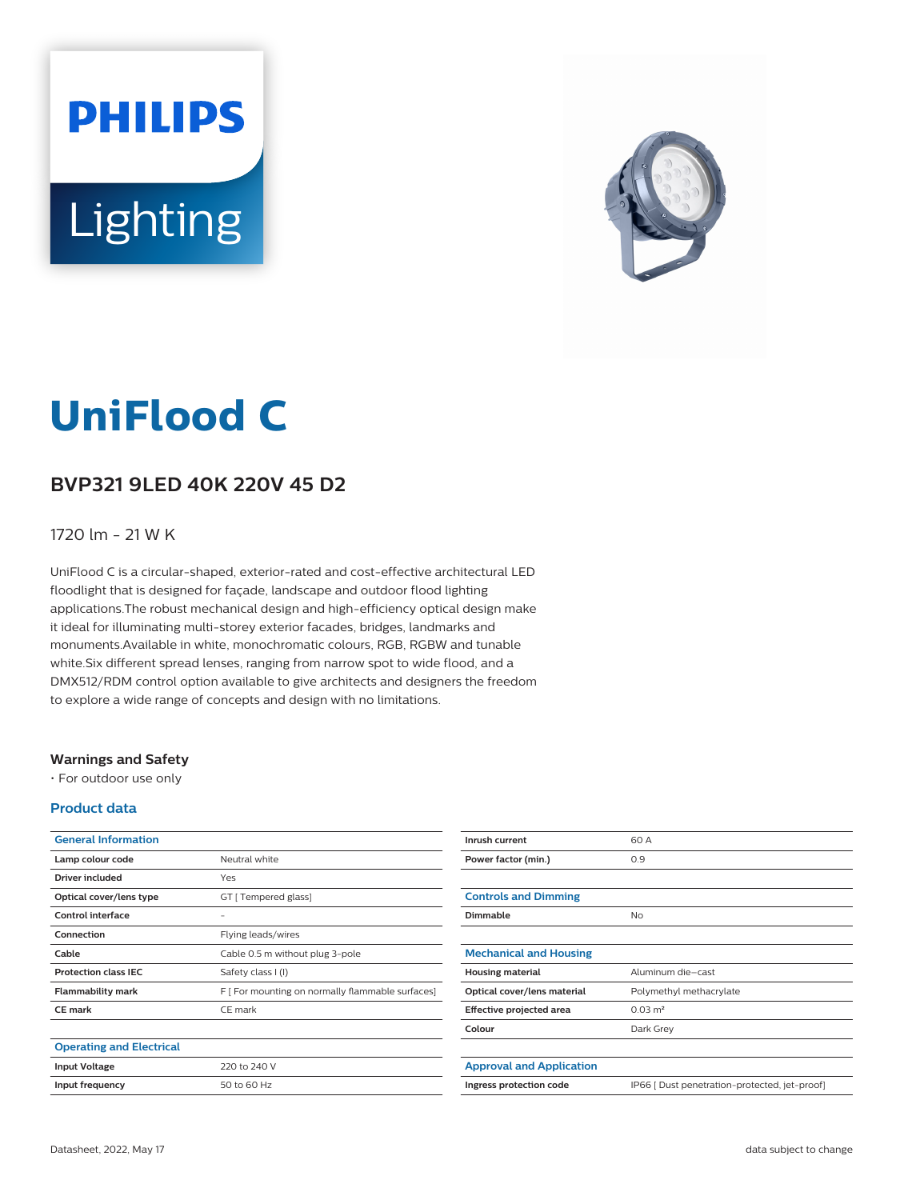# **PHILIPS** Lighting



## **UniFlood C**

#### **BVP321 9LED 40K 220V 45 D2**

#### 1720 lm - 21 W K

UniFlood C is a circular-shaped, exterior-rated and cost-effective architectural LED floodlight that is designed for façade, landscape and outdoor flood lighting applications.The robust mechanical design and high-efficiency optical design make it ideal for illuminating multi-storey exterior facades, bridges, landmarks and monuments.Available in white, monochromatic colours, RGB, RGBW and tunable white.Six different spread lenses, ranging from narrow spot to wide flood, and a DMX512/RDM control option available to give architects and designers the freedom to explore a wide range of concepts and design with no limitations.

#### **Warnings and Safety**

• For outdoor use only

#### **Product data**

| <b>General Information</b>      |                                                  |
|---------------------------------|--------------------------------------------------|
| Lamp colour code                | Neutral white                                    |
| Driver included                 | Yes                                              |
| Optical cover/lens type         | GT [ Tempered glass]                             |
| Control interface               | -                                                |
| Connection                      | Flying leads/wires                               |
| Cable                           | Cable 0.5 m without plug 3-pole                  |
| <b>Protection class IEC</b>     | Safety class I (I)                               |
| <b>Flammability mark</b>        | F [ For mounting on normally flammable surfaces] |
| <b>CE</b> mark                  | CE mark                                          |
|                                 |                                                  |
| <b>Operating and Electrical</b> |                                                  |
| <b>Input Voltage</b>            | 220 to 240 V                                     |
| Input frequency                 | 50 to 60 Hz                                      |

| Inrush current                  | 60 A                                          |
|---------------------------------|-----------------------------------------------|
| Power factor (min.)             | 0.9                                           |
|                                 |                                               |
| <b>Controls and Dimming</b>     |                                               |
| Dimmable                        | No                                            |
|                                 |                                               |
| <b>Mechanical and Housing</b>   |                                               |
| <b>Housing material</b>         | Aluminum die-cast                             |
| Optical cover/lens material     | Polymethyl methacrylate                       |
| Effective projected area        | $0.03 \text{ m}^2$                            |
| Colour                          | Dark Grey                                     |
|                                 |                                               |
| <b>Approval and Application</b> |                                               |
| Ingress protection code         | IP66 [ Dust penetration-protected, jet-proof] |
|                                 |                                               |